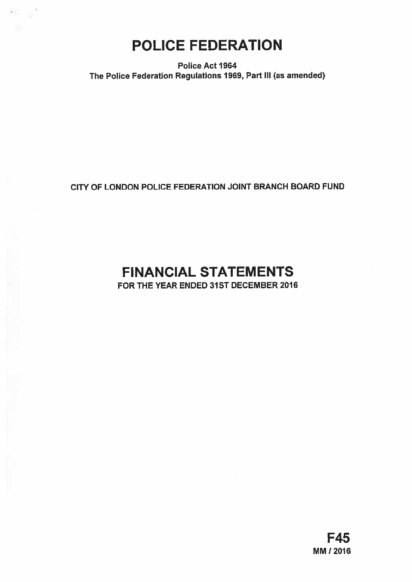POLICE FEDERATION

-11

Police Act 1964 The Police Federation Regulations 1969, Part III (as amended)

# CITY OF LONDON POLICE FEDERATION JOINT BRANCH BOARD FUND

# FINANCIAL STATEMENTS

FOR THE YEAR ENDED 31ST DECEMBER 2016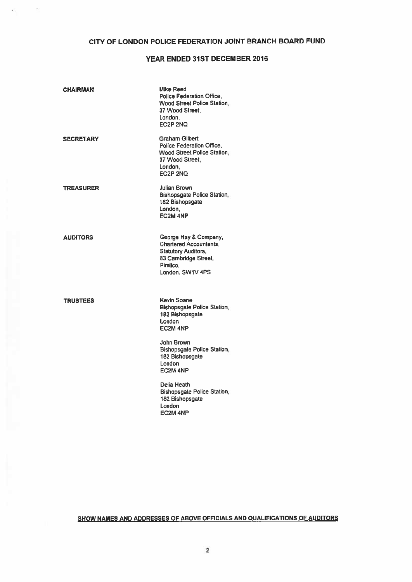# CITY OF LONDON POLICE FEDERATION JOINT BRANCH BOARD FUND

 $\sim$ 

## YEAR ENDED 31ST DECEMBER 2016

| <b>Graham Gilbert</b><br><b>SECRETARY</b><br>Police Federation Office,<br><b>Wood Street Police Station,</b><br>37 Wood Street,<br>London,<br>EC2P 2NQ<br><b>Julian Brown</b><br><b>TREASURER</b><br><b>Bishopsgate Police Station.</b><br>182 Bishopsgate<br>London,<br>EC2M 4NP<br><b>AUDITORS</b><br>George Hay & Company,<br><b>Chartered Accountants.</b><br><b>Statutory Auditors,</b><br>83 Cambridge Street,<br>Pimlico.<br>London, SW1V 4PS<br>Kevin Soane<br><b>TRUSTEES</b><br><b>Bishopsgate Police Station,</b><br>182 Bishopsgate<br>London<br>EC2M 4NP<br><b>John Brown</b><br><b>Bishopsgate Police Station</b><br>182 Bishopsgate<br>London<br>EC2M 4NP<br>Delia Heath<br><b>Bishopsgate Police Station,</b><br>182 Bishopsgate<br>London<br><b>EC2M 4NP</b> | <b>CHAIRMAN</b> | <b>Mike Reed</b><br><b>Police Federation Office.</b><br>Wood Street Police Station,<br>37 Wood Street.<br>London.<br>EC2P 2NQ |
|-------------------------------------------------------------------------------------------------------------------------------------------------------------------------------------------------------------------------------------------------------------------------------------------------------------------------------------------------------------------------------------------------------------------------------------------------------------------------------------------------------------------------------------------------------------------------------------------------------------------------------------------------------------------------------------------------------------------------------------------------------------------------------|-----------------|-------------------------------------------------------------------------------------------------------------------------------|
|                                                                                                                                                                                                                                                                                                                                                                                                                                                                                                                                                                                                                                                                                                                                                                               |                 |                                                                                                                               |
|                                                                                                                                                                                                                                                                                                                                                                                                                                                                                                                                                                                                                                                                                                                                                                               |                 |                                                                                                                               |
|                                                                                                                                                                                                                                                                                                                                                                                                                                                                                                                                                                                                                                                                                                                                                                               |                 |                                                                                                                               |
|                                                                                                                                                                                                                                                                                                                                                                                                                                                                                                                                                                                                                                                                                                                                                                               |                 |                                                                                                                               |
|                                                                                                                                                                                                                                                                                                                                                                                                                                                                                                                                                                                                                                                                                                                                                                               |                 |                                                                                                                               |
|                                                                                                                                                                                                                                                                                                                                                                                                                                                                                                                                                                                                                                                                                                                                                                               |                 |                                                                                                                               |

SHOW NAMES AND ADDRESSES OF ABOVE OFFICIALS AND QUALIFICATIONS OF AUDITORS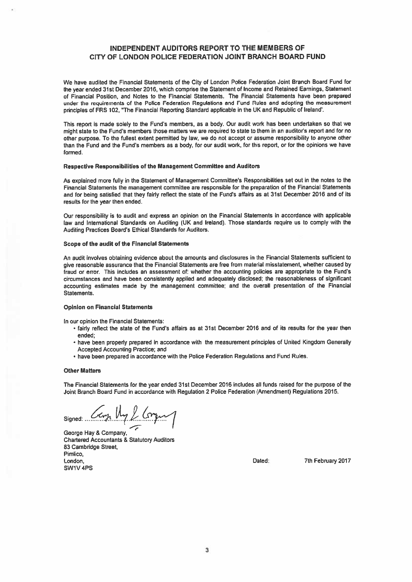## INDEPENDENT AUDITORS REPORT TO THE MEMBERS OF CITY OF LONDON POLICE FEDERATION JOINT BRANCH BOARD FUND

We have audited the Financial Statements of the City of London Police Federation Joint Branch Board Fund for the year ended 31st December2016, which comprise the Statement of Income and Retained Earnings, Statement of Financial Position, and Notes to the Financial Statements. The Financial Statements have been prepared under the requirements of the Police Federation Regulations and Fund Rules and adopting the measurement principles of FRS 102, 'The Financial Reporting Standard applicable in the UK and Republic of Ireland',

This repor<sup>t</sup> is made solely to the Fund's members, as <sup>a</sup> body. Our audit work has been undertaken so that we might state to the Fund's members those matters we are required to state to them in an auditor's report and for no other purpose. To the fullest extent permitted by law, we do not accep<sup>t</sup> or assume responsibility to anyone other than the Fund and the Fund's members as <sup>a</sup> body, for our audit work, for this report, or for the opinions we have formed.

### Respective Responsibilities of the Management Committee and Auditors

As explained more fully in the Statement of Management Committee's Responsibilities set out in the notes to the Financial Statements the managemen<sup>t</sup> committee are responsible for the preparation of the Financial Statements and for being satisfied that they fairly reflect the state of the Fund's affairs as at 31st December 2016 and of its results for the year then ended.

Our responsibility is to audit and express an opinion on the Financial Statements in accordance with applicable law and International Standards on Auditing (UK and Ireland). Those standards require us to comply with the Auditing Practices Board's Ethical Standards for Auditors.

#### Scope of the audit of the Financial Statements

An audit involves obtaining evidence about the amounts and disclosures in the Financial Statements sufficient to <sup>g</sup>ive reasonable assurance that the Financial Statements are free from material misstatement, whether caused by fraud or error. This includes an assessment of: whether the accounting policies are appropriate to the Fund's circumstances and have been consistently applied and adequately disclosed; the reasonableness of significant accounting estimates made by the managemen<sup>t</sup> committee; and the overall presentation of the Financial Statements.

## Opinion on Financial Statements

In our opinion the Financial Statements:

- fairly reflect the state of the Fund's affairs as at 31st December 2016 and of its results for the year then ended;
- have been properly prepared in accordance with the measurement principles of United Kingdom Generally Accepted Accounting Practice; and
- have been prepared in accordance with the Police Federation Regulations and Fund Rules.

## Other Matters

The Financial Statements for the year ended 31st December 2016 includes all funds raised for the purpose of the Joint Branch Board Fund in accordance with Regulation 2 Police Federation (Amendment) Regulations 2015.

signed: Carp My & Corg.

George Hay & Company, Chartered Accountants & Statutory Auditors 83 Cambridge Street, Pimlico, London, Dated: 7th February 2017 SW1V4PS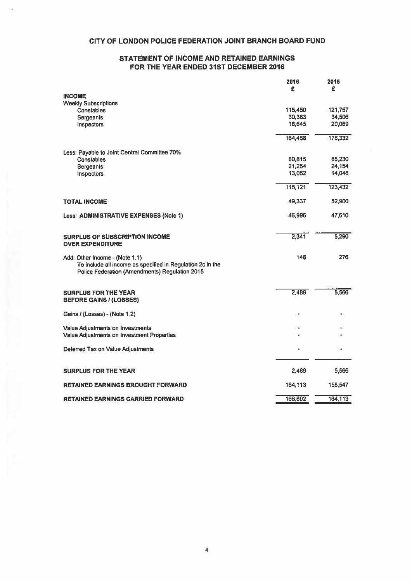# CITY OF LONDON POLICE FEDERATION JOINT BRANCH BOARD FUND

## STATEMENT OF INCOME AND RETAINED EARNINGS FOR THE YEAR ENDED 31ST DECEMBER 2016

|                                                                                                                                                | 2016<br>£ | 2015<br>£ |
|------------------------------------------------------------------------------------------------------------------------------------------------|-----------|-----------|
| <b>INCOME</b>                                                                                                                                  |           |           |
| <b>Weekly Subscriptions</b>                                                                                                                    |           |           |
| <b>Constables</b>                                                                                                                              | 115,450   | 121,757   |
| Sergeants                                                                                                                                      | 30,363    | 34,506    |
| Inspectors                                                                                                                                     | 18,645    | 20,069    |
|                                                                                                                                                | 164,458   | 176,332   |
| Less: Payable to Joint Central Committee 70%                                                                                                   |           |           |
| Constables                                                                                                                                     | 80,815    | 85,230    |
| Sergeants                                                                                                                                      | 21,254    | 24,154    |
| Inspectors                                                                                                                                     | 13,052    | 14,048    |
|                                                                                                                                                | 115,121   | 123,432   |
| <b>TOTAL INCOME</b>                                                                                                                            | 49,337    | 52,900    |
| Less: ADMINISTRATIVE EXPENSES (Note 1)                                                                                                         | 46,996    | 47,610    |
| <b>SURPLUS OF SUBSCRIPTION INCOME</b><br><b>OVER EXPENDITURE</b>                                                                               | 2,341     | 5,290     |
| Add: Other Income - (Note 1.1)<br>To include all income as specified in Regulation 2c in the<br>Police Federation (Amendments) Regulation 2015 | 148       | 276       |
| <b>SURPLUS FOR THE YEAR</b><br><b>BEFORE GAINS / (LOSSES)</b>                                                                                  | 2,489     | 5,566     |
| Gains / (Losses) - (Note 1.2)                                                                                                                  |           |           |
| Value Adjustments on Investments                                                                                                               |           |           |
| Value Adjustments on Investment Properties                                                                                                     |           |           |
| Deferred Tax on Value Adjustments                                                                                                              |           |           |
| <b>SURPLUS FOR THE YEAR</b>                                                                                                                    | 2,489     | 5,566     |
|                                                                                                                                                |           |           |
| RETAINED EARNINGS BROUGHT FORWARD                                                                                                              | 164,113   | 158,547   |
| <b>RETAINED EARNINGS CARRIED FORWARD</b>                                                                                                       | 166,602   | 164,113   |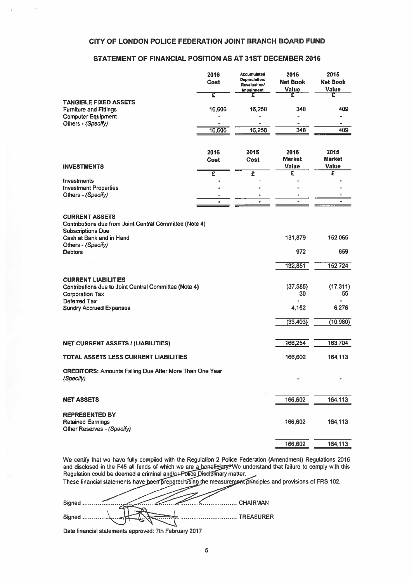## CITY OF LONDON POLICE FEDERATION JOINT BRANCH BOARD FUND

## STATEMENT OF FINANCIAL POSITION AS AT 31ST DECEMBER 2016

| CITY OF LONDON POLICE FEDERATION JOINT BRANCH BOARD FUND                                                                                                                         |                     |                                                                          |                                  |                                  |
|----------------------------------------------------------------------------------------------------------------------------------------------------------------------------------|---------------------|--------------------------------------------------------------------------|----------------------------------|----------------------------------|
| STATEMENT OF FINANCIAL POSITION AS AT 31ST DECEMBER 2016                                                                                                                         |                     |                                                                          |                                  |                                  |
|                                                                                                                                                                                  | 2016<br>Cost        | <b>Accumulated</b><br>Depreciation/<br><b>Revaluation/</b><br>Impairment | 2016<br><b>Net Book</b><br>Value | 2015<br><b>Net Book</b><br>Value |
| <b>TANGIBLE FIXED ASSETS</b><br><b>Furniture and Fittings</b>                                                                                                                    | τ<br>16,606         | £<br>16,258                                                              | £<br>348                         | £<br>409                         |
| <b>Computer Equipment</b><br>Others - (Specify)                                                                                                                                  | 16,606              | 16,258                                                                   | $\bullet$<br>348                 | 409                              |
| <b>INVESTMENTS</b>                                                                                                                                                               | 2016<br><b>Cost</b> | 2015<br>Cost                                                             | 2016<br><b>Market</b><br>Value   | 2015<br><b>Market</b><br>Value   |
|                                                                                                                                                                                  | £                   | $\overline{\epsilon}$                                                    | £                                | £                                |
| <b>Investments</b><br><b>Investment Properties</b>                                                                                                                               |                     |                                                                          |                                  |                                  |
| Others - (Specify)                                                                                                                                                               | $\bullet$           |                                                                          |                                  | ÷.                               |
| <b>CURRENT ASSETS</b><br>Contributions due from Joint Central Committee (Note 4)<br><b>Subscriptions Due</b><br>Cash at Bank and in Hand<br>Others - (Specify)<br><b>Debtors</b> |                     |                                                                          | 131,879<br>972                   | 152,065<br>659                   |
|                                                                                                                                                                                  |                     |                                                                          | 132,851                          | 152,724                          |
| <b>CURRENT LIABILITIES</b><br>Contributions due to Joint Central Committee (Note 4)<br><b>Corporation Tax</b><br>Deferred Tax                                                    |                     |                                                                          | (37, 585)<br>30<br>٠             | (17, 311)<br>55<br>$\bullet$     |
| <b>Sundry Accrued Expenses</b>                                                                                                                                                   |                     |                                                                          | 4,152                            | 6,276                            |
|                                                                                                                                                                                  |                     |                                                                          | (33, 403)                        | (10, 980)                        |
| <b>NET CURRENT ASSETS / (LIABILITIES)</b>                                                                                                                                        |                     |                                                                          | 166,254                          | 163,704                          |
| <b>TOTAL ASSETS LESS CURRENT LIABILITIES</b>                                                                                                                                     |                     |                                                                          | 166,602                          | 164,113                          |
| <b>CREDITORS: Amounts Falling Due After More Than One Year</b><br>(Specify)                                                                                                      |                     |                                                                          |                                  |                                  |
| <b>NET ASSETS</b>                                                                                                                                                                |                     |                                                                          | 166,602                          | 164,113                          |
| <b>REPRESENTED BY</b><br><b>Retained Earnings</b><br>Other Reserves - (Specify)                                                                                                  |                     |                                                                          | 166,602                          | 164,113                          |
|                                                                                                                                                                                  |                     |                                                                          | 166,602                          | 164,113                          |

We certify that we have fully complied with the Regulation 2 Police Federation (Amendment) Regulations 2015 and disclosed in the F45 all funds of which we are a bene<del>ficiary. </del>We understand that failure to comply with this Regulation could be deemed <sup>a</sup> criminal an

These financial statements have been prepared using the measurement principles and provisions of FRS 102 س سد

Date financial statements approved: 7th February 2017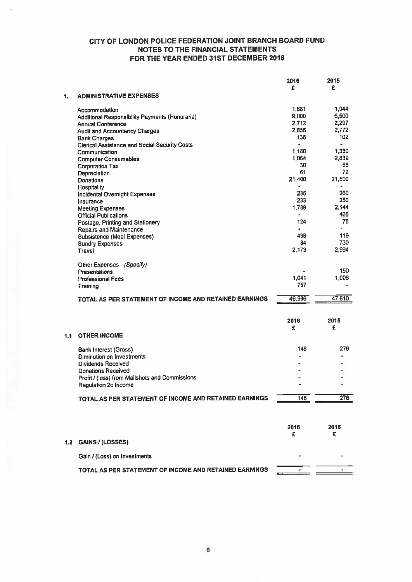|     |                                                        | 2016           | 2015   |
|-----|--------------------------------------------------------|----------------|--------|
|     |                                                        | £              | £      |
| 1.  | <b>ADMINISTRATIVE EXPENSES</b>                         |                |        |
|     | Accommodation                                          | 1,681          | 1,944  |
|     | Additional Responsibility Payments (Honoraria)         | 9,000          | 6,500  |
|     | <b>Annual Conference</b>                               | 2,712          | 2,297  |
|     | <b>Audit and Accountancy Charges</b>                   | 2,856          | 2,772  |
|     | <b>Bank Charges</b>                                    | 138            | 102    |
|     | <b>Clerical Assistance and Social Security Costs</b>   | $\blacksquare$ |        |
|     | Communication                                          | 1,180          | 1,330  |
|     | <b>Computer Consumables</b>                            | 1.064          | 2,839  |
|     | <b>Corporation Tax</b>                                 | 30             | 55     |
|     | Depreciation                                           | 61             | 72     |
|     | <b>Donations</b>                                       | 21,400         | 21,500 |
|     | <b>Hospitality</b>                                     | ٠              |        |
|     | <b>Incidental Overnight Expenses</b>                   | 235            | 260    |
|     | Insurance                                              | 233            | 250    |
|     | <b>Meeting Expenses</b>                                | 1.789          | 2,144  |
|     | <b>Official Publications</b>                           | ٠              | 468    |
|     | Postage, Printing and Stationery                       | 124            | 78     |
|     | <b>Repairs and Maintenance</b>                         | $\blacksquare$ | ä.     |
|     | <b>Subsistence (Meal Expenses)</b>                     | 438            | 119    |
|     | <b>Sundry Expenses</b>                                 | 84             | 730    |
|     | <b>Travel</b>                                          | 2,173          | 2,994  |
|     | Other Expenses - (Specify)                             |                |        |
|     | <b>Presentations</b>                                   |                | 150    |
|     | <b>Professional Fees</b>                               | 1,041          | 1,006  |
|     | Training                                               | 757            |        |
|     | TOTAL AS PER STATEMENT OF INCOME AND RETAINED EARNINGS | 46,996         | 47,610 |
|     |                                                        |                |        |
|     |                                                        | 2016           | 2015   |
|     |                                                        | £              | £      |
| 1.1 | <b>OTHER INCOME</b>                                    |                |        |
|     | <b>Bank Interest (Gross)</b>                           | 148            | 276    |
|     | Diminution on Investments                              | ٠              |        |
|     | <b>Dividends Received</b>                              |                |        |
|     | <b>Donations Received</b>                              |                |        |
|     | Profit / (loss) from Mailshots and Commissions         |                |        |
|     | <b>Regulation 2c Income</b>                            |                |        |
|     | TOTAL AS PER STATEMENT OF INCOME AND RETAINED EARNINGS | 148            | 276    |
|     |                                                        |                |        |
|     |                                                        |                |        |
|     |                                                        | 2016           | 2015   |
|     |                                                        | £              | £      |
| 1.2 | <b>GAINS / (LOSSES)</b>                                |                |        |
|     | Gain / (Loss) on Investments                           |                |        |
|     | TOTAL AS PER STATEMENT OF INCOME AND RETAINED EARNINGS |                |        |
|     |                                                        |                |        |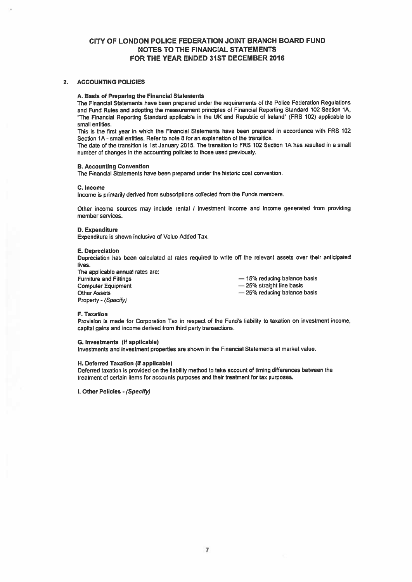## 2. ACCOUNTING POLICIES

## A. Basis of Preparing the Financial Statements

The Financial Statements have been prepared under the requirements of the Police Federation Regulations and Fund Rules and adopting the measurement principles of Financial Reporting Standard <sup>102</sup> Section IA, "The Financial Reporting Standard applicable in the UK and Republic of Ireland" (FRS 102) applicable to small entities.

This is the first year in which the Financial Statements have been prepared in accordance with FRS 102 Section 1A -small entities. Refer to note 8 for an explanation of the transition.

The date of the transition is 1st January 2015. The transition to FRS 102 Section 1A has resulted in <sup>a</sup> small number of changes in the accounting policies to those used previously.

## B. Accounting Convention

The Financial Statements have been prepared under the historic cost convention.

#### C. Income

Income is primarily derived from subscriptions collected from the Funds members.

Other income sources may include rental / investment income and income generated from providing member services.

### D. Expenditure

Expenditure is shown inclusive of Value Added Tax.

#### E. Depreciation

Depreciation has been calculated at rates required to write off the relevant assets over their anticipated lives.

The applicable annual rates are: Furniture and Fittings **Exercise 20** and Fittings **and Fittings** and Fittings and Fittings **Fig. 2016** Computer Equipment **Example 25%** straight line basis Other Assets **25% reducing balance basis** 25% reducing balance basis Property - (Specify)

## F. Taxation

Provision is made for Corporation Tax in respec<sup>t</sup> of the Fund's liability to taxation on investment income, capital gains and income derived from third party transactions.

#### G. Investments (if applicable)

Investments and investment properties are shown in the Financial Statements at market value.

## H. Deferred Taxation (if applicable)

Deferred taxation is provided on the liability method to take account of timing differences between the treatment of certain items for accounts purposes and their treatment for tax purposes.

I. Other Policies - (Specify)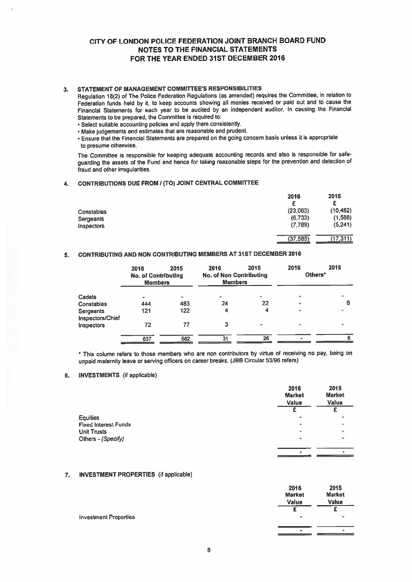## 3. STATEMENT OF MANAGEMENT COMMITTEE'S RESPONSIBILITIES

Regulation 18(2) of The Police Federation Regulations (as amended) requires the Committee, in relation to Federation funds held by it, to keep accounts showing all monies received or paid out and to cause the Financial Statements for each year to be audited by an independent auditor. In causing the Financial Statements to be prepared, the Committee is required to;

- Select suitable accounting policies and apply them consistently.
- Make judgements and estimates that are reasonable and prudent.

• Ensure that the Financial Statements are prepare<sup>d</sup> on the going concern basis unless it is appropriate to presume otherwise.

The Committee is responsible for keeping adequate accounting records and also is responsible for safe guarding the assets of the Fund and hence for taking reasonable steps for the prevention and detection of fraud and other irregularities.

## 4. CONTRIBUTIONS DUE FROM I (TO) JOINT CENTRAL COMMITTEE

|                   | 2016      | 2015      |
|-------------------|-----------|-----------|
|                   |           | £         |
| <b>Constables</b> | (23,063)  | (10, 482) |
| Sergeants         | (6, 733)  | (1,588)   |
| <b>Inspectors</b> | (7,789)   | (5,241)   |
|                   | (37, 585) | (17, 311) |

## 5. CONTRIBUTING AND NON CONTRIBUTING MEMBERS AT 31ST DECEMBER 2016

|                               | 2016<br><b>No. of Contributing</b><br><b>Members</b> | 2015 | 2016<br><b>No. of Non Contributing</b><br><b>Members</b> | 2015 | 2016<br>Others* | 2015 |
|-------------------------------|------------------------------------------------------|------|----------------------------------------------------------|------|-----------------|------|
| Cadets                        | -                                                    | ۰    | $\blacksquare$                                           |      |                 |      |
| Constables                    | 444                                                  | 483  | 24                                                       | 22   | ٠               | 6    |
| Sergeants<br>Inspectors/Chief | 121                                                  | 122  | 4                                                        |      | ۰               |      |
| Inspectors                    | 72                                                   | 77   | 3                                                        |      | $\,$            |      |
|                               | 637                                                  | 682  | 31                                                       | 26   |                 |      |

\* This column refers to those members who are non contributors by virtue of receiving no pay, being on unpaid matemity leave or serving officers on career breaks. (JBB Circular 53/96 refers)

## 6. INVESTMENTS (if applicable)

|                             | 2016<br><b>Market</b><br>Value | 2015<br><b>Market</b><br>Value |
|-----------------------------|--------------------------------|--------------------------------|
|                             |                                | £                              |
| <b>Equities</b>             | ۰                              | ٠                              |
| <b>Fixed Interest Funds</b> | ٠                              | $\overline{\phantom{a}}$       |
| <b>Unit Trusts</b>          | ۰                              |                                |
| Others - (Specify)          | ۰                              | $\sim$                         |
|                             | $\blacksquare$                 | ۰                              |

## 7. INVESTMENT PROPERTiES (if applicable)

|                              | 2016<br><b>Market</b>        | 2015<br><b>Market</b> |
|------------------------------|------------------------------|-----------------------|
|                              | Value                        | Value                 |
|                              |                              | -                     |
| <b>Investment Properties</b> | ٠                            |                       |
|                              | $\qquad \qquad \blacksquare$ | $\bullet$             |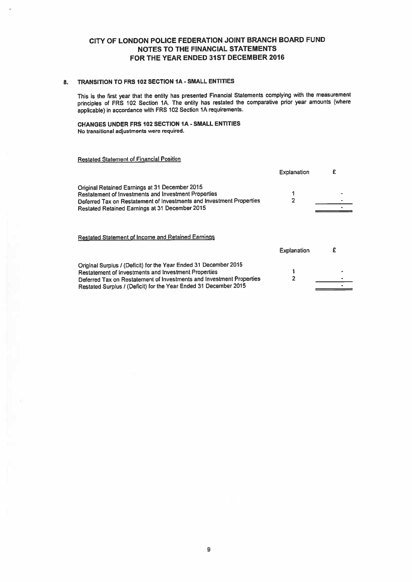## 8. TRANSITION TO FRS 102 SECTION IA - SMALL ENTITIES

This is the first year that the entity has presented Financial Statements complying with the measurement principles of FRS 102 Section 1A. The entity has restated the comparative prior year amounts (where applicable) in accordance with FRS <sup>102</sup> Section 1A requirements.

CHANGES UNDER FRS 102 SECTION 1A - SMALL ENTITIES No transitional adjustments were required.

# Restated Statement of Financial Position

|                                                                                                                                                                                                                                                                      | <b>Explanation</b> | £ |
|----------------------------------------------------------------------------------------------------------------------------------------------------------------------------------------------------------------------------------------------------------------------|--------------------|---|
| Original Retained Earnings at 31 December 2015<br>Restatement of Investments and Investment Properties<br>Deferred Tax on Restatement of Investments and Investment Properties<br>Restated Retained Earnings at 31 December 2015                                     | 2                  |   |
| <b>Restated Statement of Income and Retained Earnings</b>                                                                                                                                                                                                            | <b>Explanation</b> | £ |
| Original Surplus / (Deficit) for the Year Ended 31 December 2015<br>Restatement of Investments and Investment Properties<br>Deferred Tax on Restatement of Investments and Investment Properties<br>Restated Surplus / (Deficit) for the Year Ended 31 December 2015 | $\overline{2}$     |   |